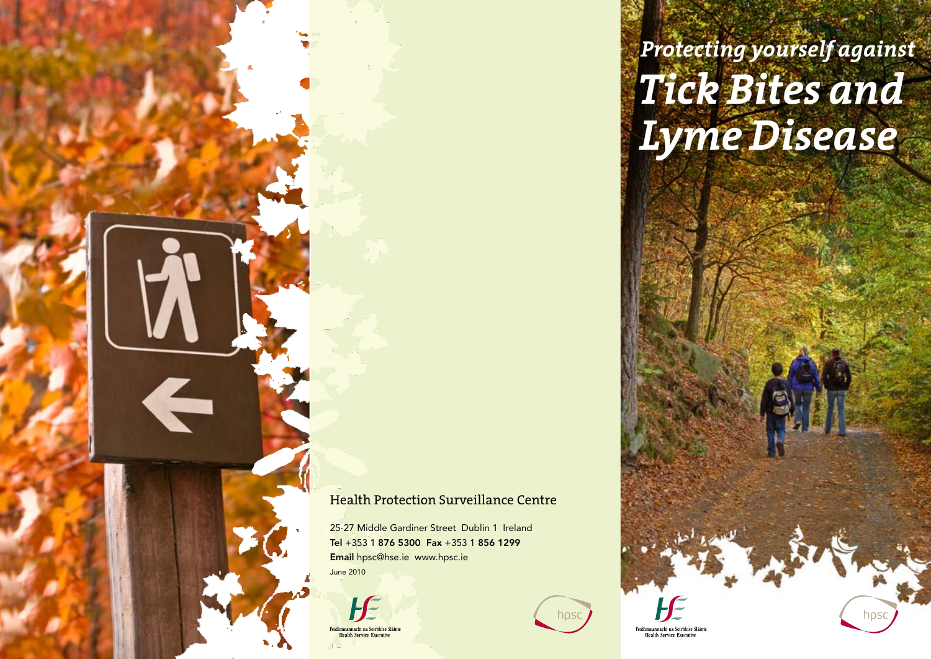Health Protection Surveillance Centre

hpsc

25-27 Middle Gardiner Street Dublin 1 Ireland Tel +353 1 876 5300 Fax +353 1 856 1299 Email hpsc@hse.ie www.hpsc.ie

June 2010

**in Ba** 

eidhmeannacht na Seirbhíse Sláint **Health Service Executi** 



Feidhmeannacht na Seirbhíse Sláinte **Health Service Executive**